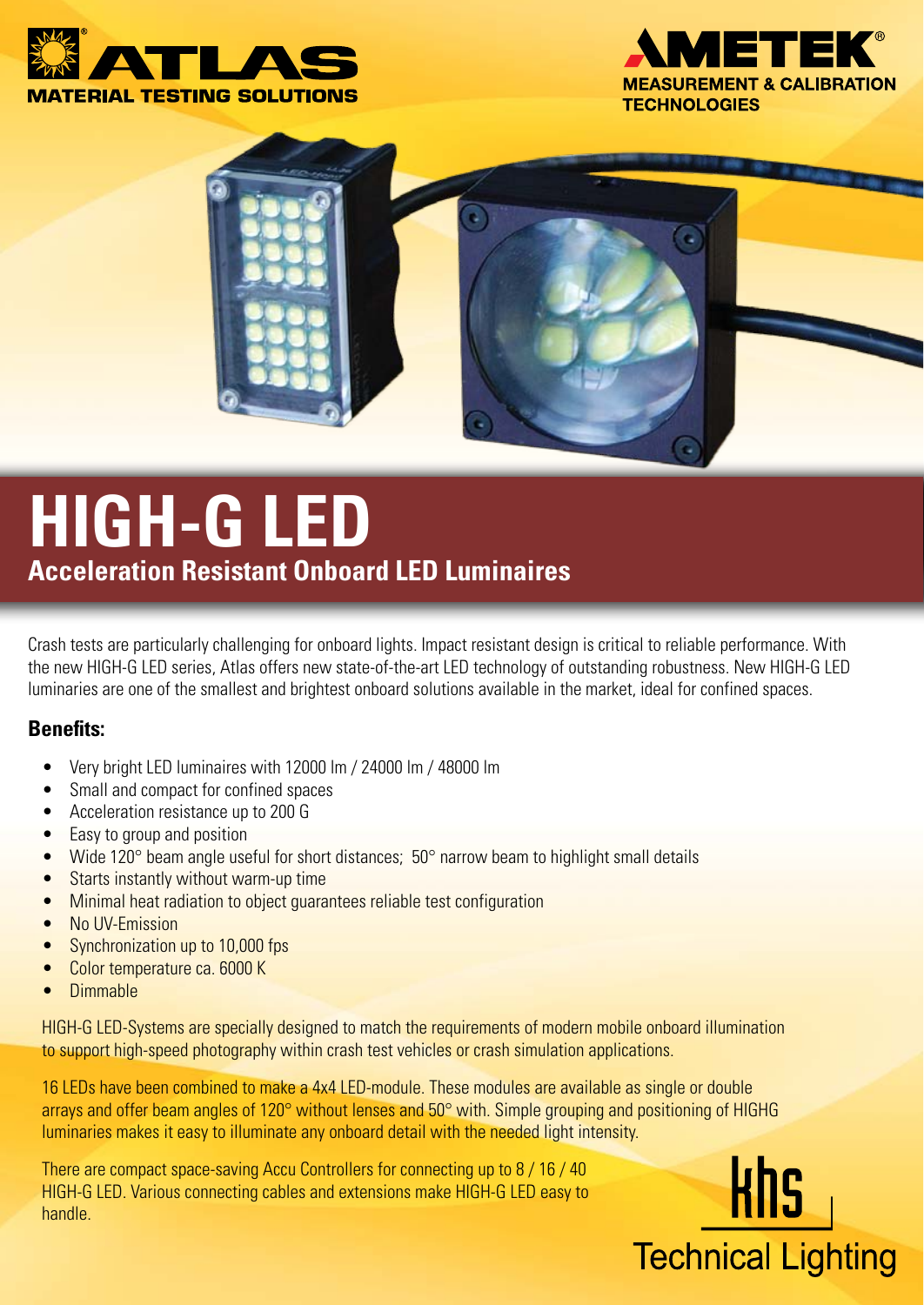





# **HIGH-G LED Acceleration Resistant Onboard LED Luminaires**

Crash tests are particularly challenging for onboard lights. Impact resistant design is critical to reliable performance. With the new HIGH-G LED series, Atlas offers new state-of-the-art LED technology of outstanding robustness. New HIGH-G LED luminaries are one of the smallest and brightest onboard solutions available in the market, ideal for confined spaces.

#### **Benefits:**

- • Very bright LED luminaires with 12000 lm / 24000 lm / 48000 lm
- Small and compact for confined spaces
- • Acceleration resistance up to 200 G
- Easy to group and position
- Wide 120 $\degree$  beam angle useful for short distances; 50 $\degree$  narrow beam to highlight small details
- Starts instantly without warm-up time
- Minimal heat radiation to object guarantees reliable test configuration
- No UV-Emission
- Synchronization up to 10,000 fps
- Color temperature ca. 6000 K
- • Dimmable

HIGH-G LED-Systems are specially designed to match the requirements of modern mobile onboard illumination to support high-speed photography within crash test vehicles or crash simulation applications.

16 LEDs have been combined to make a 4x4 LED-module. These modules are available as single or double arrays and offer beam angles of 120° without lenses and 50° with. Simple grouping and positioning of HIGHG luminaries makes it easy to illuminate any onboard detail with the needed light intensity.

There are compact space-saving Accu Controllers for connecting up to 8 / 16 / 40 HIGH-G LED. Various connecting cables and extensions make HIGH-G LED easy to handle.

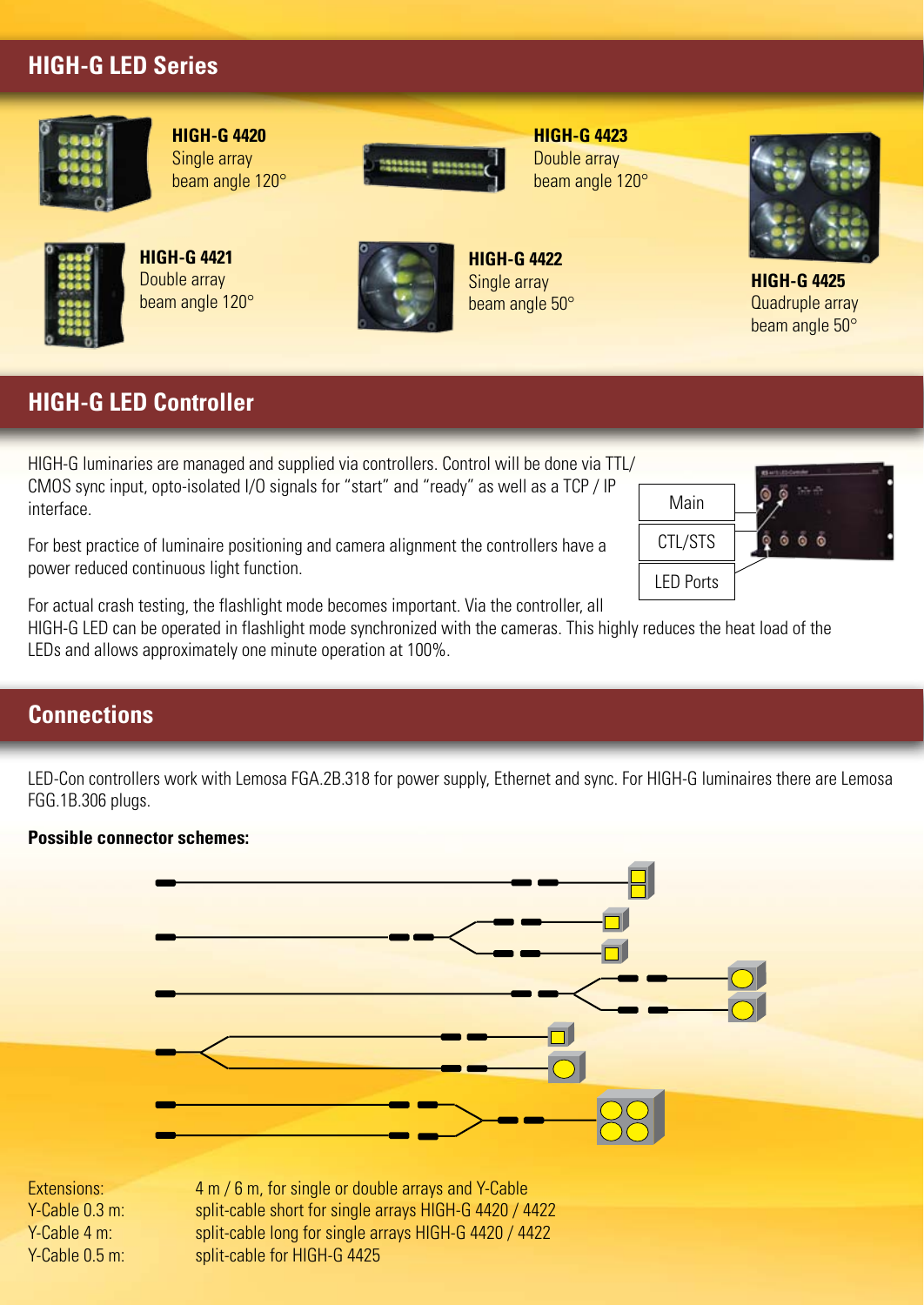# **HIGH-G LED Series**



**HIGH-G 4420** Single array beam angle 120°

**HIGH-G 4421** Double array beam angle 120°



**HIGH-G 4423** Double array beam angle 120°

**HIGH-G 4422** Single array beam angle 50°



**HIGH-G 4425** Quadruple array beam angle 50°

# **HIGH-G LED Controller**

HIGH-G luminaries are managed and supplied via controllers. Control will be done via TTL/ CMOS sync input, opto-isolated I/O signals for "start" and "ready" as well as a TCP / IP interface.

For best practice of luminaire positioning and camera alignment the controllers have a power reduced continuous light function.

Main CTL/STS LED Ports

For actual crash testing, the flashlight mode becomes important. Via the controller, all

HIGH-G LED can be operated in flashlight mode synchronized with the cameras. This highly reduces the heat load of the LEDs and allows approximately one minute operation at 100%.

#### **Connections**

LED-Con controllers work with Lemosa FGA.2B.318 for power supply, Ethernet and sync. For HIGH-G luminaires there are Lemosa FGG.1B.306 plugs.

#### **Possible connector schemes:**



Extensions: 4 m / 6 m, for single or double arrays and Y-Cable Y-Cable 0.3 m: split-cable short for single arrays HIGH-G 4420 / 4422 Y-Cable 4 m: split-cable long for single arrays HIGH-G 4420 / 4422 Y-Cable 0.5 m: split-cable for HIGH-G 4425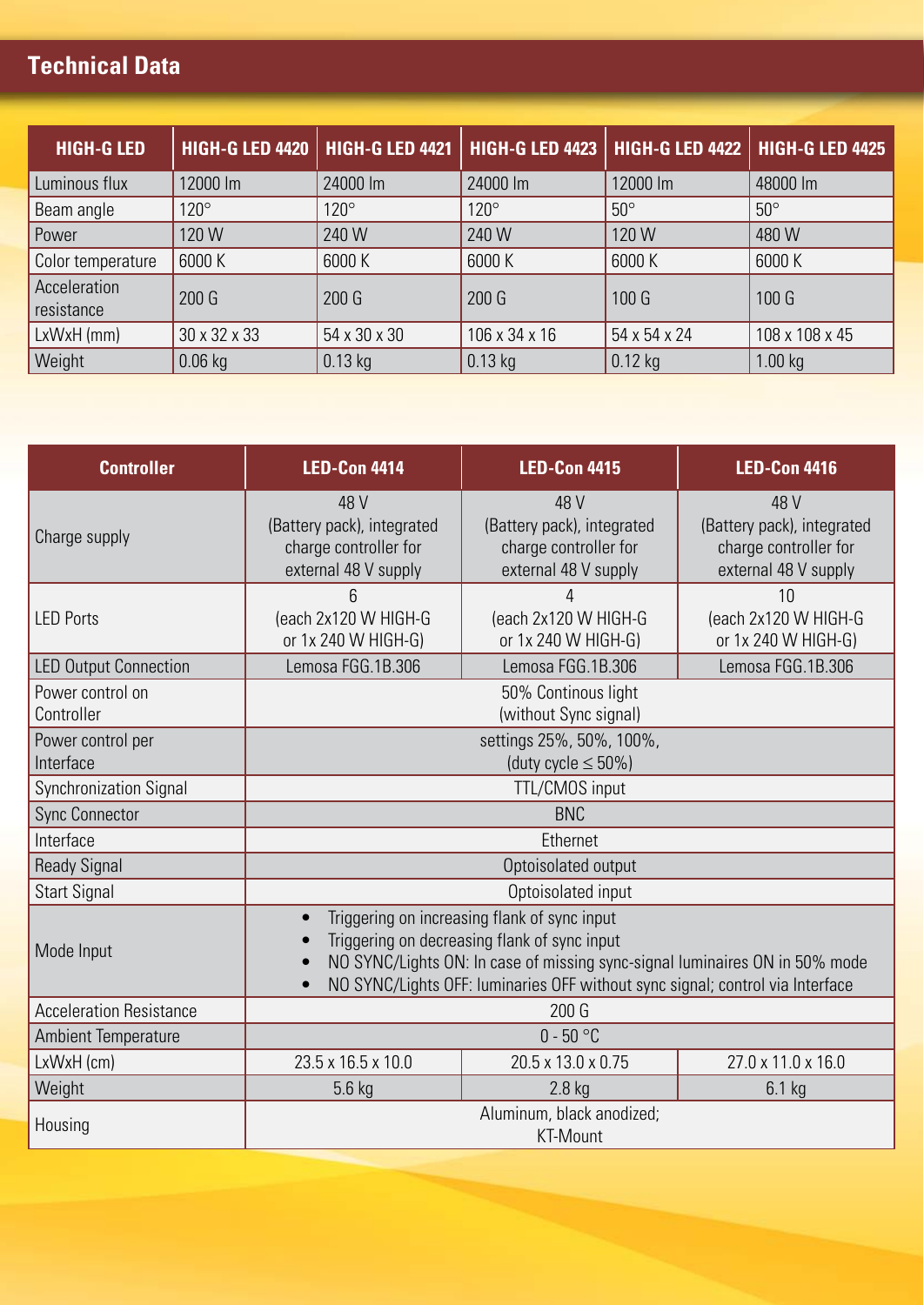# **Technical Data**

| <b>HIGH-G LED</b>          |              | <b>HIGH-G LED 4420   HIGH-G LED 4421</b> |               | <b>HIGH-G LED 4423   HIGH-G LED 4422</b> | <b>HIGH-G LED 4425</b> |
|----------------------------|--------------|------------------------------------------|---------------|------------------------------------------|------------------------|
| Luminous flux              | 12000 lm     | 24000 lm                                 | 24000 lm      | 12000 lm                                 | 48000 lm               |
| Beam angle                 | $120^\circ$  | $120^\circ$                              | $120^\circ$   | $50^\circ$                               | $50^\circ$             |
| Power                      | 120 W        | 240 W                                    | 240 W         | 120 W                                    | 480 W                  |
| Color temperature          | 6000 K       | 6000 K                                   | 6000 K        | 6000 K                                   | 6000 K                 |
| Acceleration<br>resistance | 200 G        | 200 G                                    | 200G          | 100 G                                    | 100 G                  |
| LxWxH(mm)                  | 30 x 32 x 33 | 54 x 30 x 30                             | 106 x 34 x 16 | 54 x 54 x 24                             | 108 x 108 x 45         |
| <b>Weight</b>              | $0.06$ kg    | $0.13$ kg                                | $0.13$ kg     | $0.12$ kg                                | 1.00 kg                |

| <b>Controller</b>              | <b>LED-Con 4414</b>                                                                                                                                                                                                                                                       | <b>LED-Con 4415</b>                                                                 | <b>LED-Con 4416</b>                                                                 |  |  |
|--------------------------------|---------------------------------------------------------------------------------------------------------------------------------------------------------------------------------------------------------------------------------------------------------------------------|-------------------------------------------------------------------------------------|-------------------------------------------------------------------------------------|--|--|
| Charge supply                  | 48 V<br>(Battery pack), integrated<br>charge controller for<br>external 48 V supply                                                                                                                                                                                       | 48 V<br>(Battery pack), integrated<br>charge controller for<br>external 48 V supply | 48 V<br>(Battery pack), integrated<br>charge controller for<br>external 48 V supply |  |  |
| <b>LED Ports</b>               | 6<br>(each 2x120 W HIGH-G<br>or 1x 240 W HIGH-G)                                                                                                                                                                                                                          | 4<br>(each 2x120 W HIGH-G<br>or 1x 240 W HIGH-G)                                    | 10<br>(each 2x120 W HIGH-G<br>or 1x 240 W HIGH-G)                                   |  |  |
| <b>LED Output Connection</b>   | Lemosa FGG.1B.306                                                                                                                                                                                                                                                         | Lemosa FGG.1B.306                                                                   | Lemosa FGG.1B.306                                                                   |  |  |
| Power control on<br>Controller | 50% Continous light<br>(without Sync signal)                                                                                                                                                                                                                              |                                                                                     |                                                                                     |  |  |
| Power control per<br>Interface | settings 25%, 50%, 100%,<br>(duty cycle $\leq 50\%$ )                                                                                                                                                                                                                     |                                                                                     |                                                                                     |  |  |
| Synchronization Signal         | TTL/CMOS input                                                                                                                                                                                                                                                            |                                                                                     |                                                                                     |  |  |
| <b>Sync Connector</b>          | <b>BNC</b>                                                                                                                                                                                                                                                                |                                                                                     |                                                                                     |  |  |
| Interface                      | Ethernet                                                                                                                                                                                                                                                                  |                                                                                     |                                                                                     |  |  |
| <b>Ready Signal</b>            | Optoisolated output                                                                                                                                                                                                                                                       |                                                                                     |                                                                                     |  |  |
| <b>Start Signal</b>            | Optoisolated input                                                                                                                                                                                                                                                        |                                                                                     |                                                                                     |  |  |
| Mode Input                     | Triggering on increasing flank of sync input<br>$\bullet$<br>Triggering on decreasing flank of sync input<br>NO SYNC/Lights ON: In case of missing sync-signal luminaires ON in 50% mode<br>NO SYNC/Lights OFF: luminaries OFF without sync signal; control via Interface |                                                                                     |                                                                                     |  |  |
| <b>Acceleration Resistance</b> | 200G                                                                                                                                                                                                                                                                      |                                                                                     |                                                                                     |  |  |
| <b>Ambient Temperature</b>     | $0 - 50$ °C                                                                                                                                                                                                                                                               |                                                                                     |                                                                                     |  |  |
| LxWxH (cm)                     | 23.5 x 16.5 x 10.0                                                                                                                                                                                                                                                        | 20.5 x 13.0 x 0.75                                                                  | 27.0 x 11.0 x 16.0                                                                  |  |  |
| Weight                         | $5.6$ kg                                                                                                                                                                                                                                                                  | $2.8$ kg                                                                            | $6.1$ kg                                                                            |  |  |
| Housing                        | Aluminum, black anodized;<br><b>KT-Mount</b>                                                                                                                                                                                                                              |                                                                                     |                                                                                     |  |  |